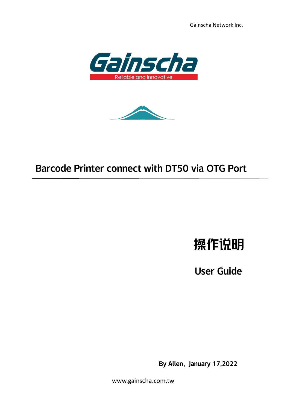Gainscha Network Inc.





## Barcode Printer connect with DT50 via OTG Port

## 操作说明

**User Guide** 

By Allen, January 17,2022

www.gainscha.com.tw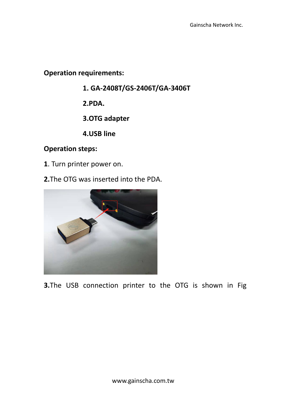**Operation requirements:**

- **1. GA-2408T/GS-2406T/GA-3406T**
- **2.PDA.**
- **3.OTG adapter**
- **4.USB line**

## **Operation steps:**

- **1**. Turn printer power on.
- **2.**The OTG was inserted into the PDA.



**3.**The USB connection printer to the OTG is shown in Fig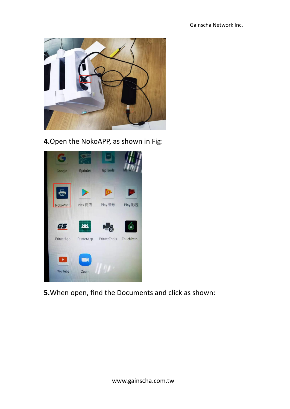

**4.**Open the NokoAPP, as shown in Fig:



**5.**When open, find the Documents and click as shown: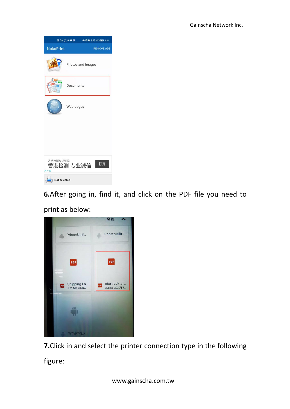|                                    | $\qquad \qquad \blacksquare \; \stackrel{\epsilon_{1}}{\text{and}}\; \stackrel{\epsilon_{51}}{\text{as}}\; \clubsuit\; \blacklozenge \; \blacksquare$ | ●图3%10:62%11 3:51 |
|------------------------------------|-------------------------------------------------------------------------------------------------------------------------------------------------------|-------------------|
| <b>NokoPrint</b>                   |                                                                                                                                                       | <b>REMOVE ADS</b> |
|                                    | Photos and images                                                                                                                                     |                   |
|                                    | Documents                                                                                                                                             |                   |
|                                    | Web pages                                                                                                                                             |                   |
|                                    |                                                                                                                                                       |                   |
|                                    |                                                                                                                                                       |                   |
| 香港检测和认证局<br>打开<br>香港检测 专业诚信<br>X广告 |                                                                                                                                                       |                   |
| Not selected                       |                                                                                                                                                       |                   |

**6.**After going in, find it, and click on the PDF file you need to print as below:



**7.**Click in and select the printer connection type in the following figure: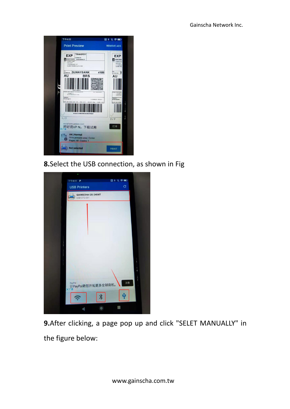

**8.**Select the USB connection, as shown in Fig



**9.**After clicking, a page pop up and click "SELET MANUALLY" in the figure below: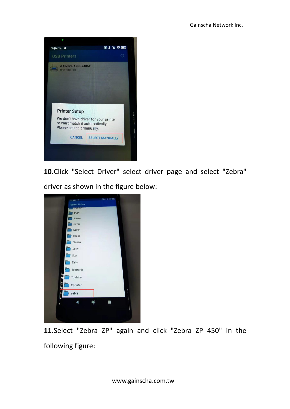

**10.**Click "Select Driver" select driver page and select "Zebra" driver as shown in the figure below:



**11.**Select "Zebra ZP" again and click "Zebra ZP 450" in the following figure: